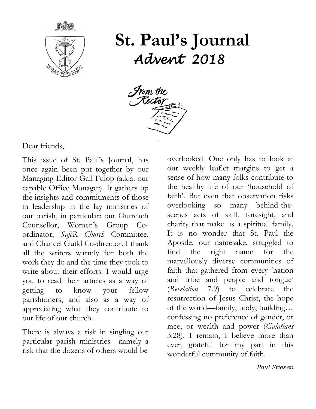

**St. Paul's Journal** *Advent 2018* 



Dear friends,

This issue of St. Paul's Journal, has once again been put together by our Managing Editor Gail Fulop (a.k.a. our capable Office Manager). It gathers up the insights and commitments of those in leadership in the lay ministries of our parish, in particular: our Outreach Counsellor, Women's Group Coordinator, *SafeR Church* Committee, and Chancel Guild Co-director. I thank all the writers warmly for both the work they do and the time they took to write about their efforts. I would urge you to read their articles as a way of getting to know your fellow parishioners, and also as a way of appreciating what they contribute to our life of our church.

There is always a risk in singling out particular parish ministries—namely a risk that the dozens of others would be

overlooked. One only has to look at our weekly leaflet margins to get a sense of how many folks contribute to the healthy life of our 'household of faith'. But even that observation risks overlooking so many behind-thescenes acts of skill, foresight, and charity that make us a spiritual family. It is no wonder that St. Paul the Apostle, our namesake, struggled to find the right name for the marvellously diverse communities of faith that gathered from every 'nation and tribe and people and tongue' (*Revelation* 7.9) to celebrate the resurrection of Jesus Christ, the hope of the world—family, body, building… confessing no preference of gender, or race, or wealth and power (*Galatians* 3.28). I remain, I believe more than ever, grateful for my part in this wonderful community of faith.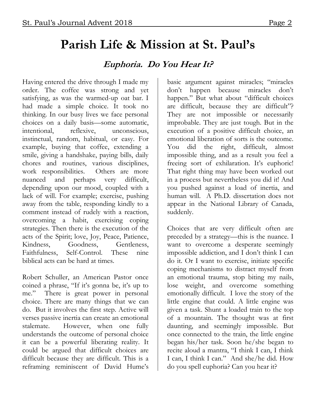# **Parish Life & Mission at St. Paul's**

#### **Euphoria. Do You Hear It?**

Having entered the drive through I made my order. The coffee was strong and yet satisfying, as was the warmed-up oat bar. I had made a simple choice. It took no thinking. In our busy lives we face personal choices on a daily basis—some automatic, intentional, reflexive, unconscious, instinctual, random, habitual, or easy. For example, buying that coffee, extending a smile, giving a handshake, paying bills, daily chores and routines, various disciplines, work responsibilities. Others are more nuanced and perhaps very difficult, depending upon our mood, coupled with a lack of will. For example; exercise, pushing away from the table, responding kindly to a comment instead of rudely with a reaction, overcoming a habit, exercising coping strategies. Then there is the execution of the acts of the Spirit; love, Joy, Peace, Patience, Kindness, Goodness, Gentleness, Faithfulness, Self-Control. These nine biblical acts can be hard at times.

Robert Schuller, an American Pastor once coined a phrase, "If it's gonna be, it's up to me." There is great power in personal choice. There are many things that we can do. But it involves the first step. Active will verses passive inertia can create an emotional stalemate. However, when one fully understands the outcome of personal choice it can be a powerful liberating reality. It could be argued that difficult choices are difficult because they are difficult. This is a reframing reminiscent of David Hume's

basic argument against miracles; "miracles don't happen because miracles don't happen." But what about "difficult choices are difficult, because they are difficult"? They are not impossible or necessarily improbable. They are just tough. But in the execution of a positive difficult choice, an emotional liberation of sorts is the outcome. You did the right, difficult, almost impossible thing, and as a result you feel a freeing sort of exhilaration. It's euphoric! That right thing may have been worked out in a process but nevertheless you did it! And you pushed against a load of inertia, and human will. A Ph.D. dissertation does not appear in the National Library of Canada, suddenly.

Choices that are very difficult often are preceded by a strategy—this is the nuance. I want to overcome a desperate seemingly impossible addiction, and I don't think I can do it. Or I want to exercise, initiate specific coping mechanisms to distract myself from an emotional trauma, stop biting my nails, lose weight, and overcome something emotionally difficult. I love the story of the little engine that could. A little engine was given a task. Shunt a loaded train to the top of a mountain. The thought was at first daunting, and seemingly impossible. But once connected to the train, the little engine began his/her task. Soon he/she began to recite aloud a mantra, "I think I can, I think I can, I think I can." And she/he did. How do you spell euphoria? Can you hear it?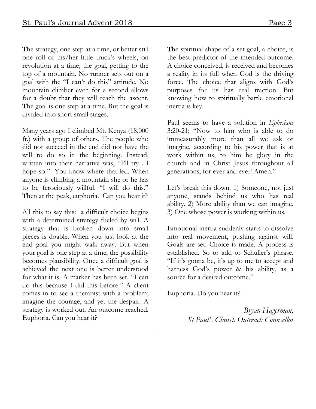The strategy, one step at a time, or better still one roll of his/her little truck's wheels, on revolution at a time; the goal, getting to the top of a mountain. No runner sets out on a goal with the "I can't do this" attitude. No mountain climber even for a second allows for a doubt that they will reach the ascent. The goal is one step at a time. But the goal is divided into short small stages.

Many years ago I climbed Mt. Kenya (18,000 ft.) with a group of others. The people who did not succeed in the end did not have the will to do so in the beginning. Instead, written into their narrative was, "I'll try…I hope so." You know where that led. When anyone is climbing a mountain she or he has to be ferociously willful. "I will do this." Then at the peak, euphoria. Can you hear it?

All this to say this: a difficult choice begins with a determined strategy fueled by will. A strategy that is broken down into small pieces is doable. When you just look at the end goal you might walk away. But when your goal is one step at a time, the possibility becomes plausibility. Once a difficult goal is achieved the next one is better understood for what it is. A marker has been set. "I can do this because I did this before." A client comes in to see a therapist with a problem; imagine the courage, and yet the despair. A strategy is worked out. An outcome reached. Euphoria. Can you hear it?

The spiritual shape of a set goal, a choice, is the best predictor of the intended outcome. A choice conceived, is received and becomes a reality in its full when God is the driving force. The choice that aligns with God's purposes for us has real traction. But knowing how to spiritually battle emotional inertia is key.

Paul seems to have a solution in *Ephesians*  3:20-21; "Now to him who is able to do immeasurably more than all we ask or imagine, according to his power that is at work within us, to him be glory in the church and in Christ Jesus throughout all generations, for ever and ever! Amen."

Let's break this down. 1) Someone, not just anyone, stands behind us who has real ability. 2) More ability than we can imagine. 3) One whose power is working within us.

Emotional inertia suddenly starts to dissolve into real movement, pushing against will. Goals are set. Choice is made. A process is established. So to add to Schuller's phrase. "If it's gonna be, it's up to me to accept and harness God's power & his ability, as a source for a desired outcome."

Euphoria. Do you hear it?

*Bryan Hagerman, St Paul's Church Outreach Counsellor*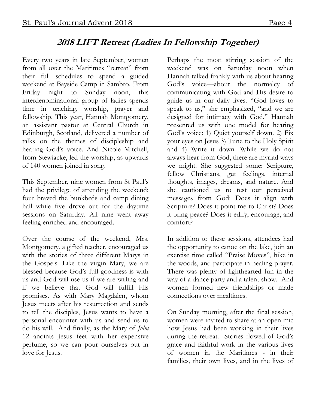## **2018 LIFT Retreat (Ladies In Fellowship Together)**

Every two years in late September, women from all over the Maritimes "retreat" from their full schedules to spend a guided weekend at Bayside Camp in Sambro. From Friday night to Sunday noon, this interdenominational group of ladies spends time in teaching, worship, prayer and fellowship. This year, Hannah Montgomery, an assistant pastor at Central Church in Edinburgh, Scotland, delivered a number of talks on the themes of discipleship and hearing God's voice. And Nicole Mitchell, from Stewiacke, led the worship, as upwards of 140 women joined in song.

This September, nine women from St Paul's had the privilege of attending the weekend: four braved the bunkbeds and camp dining hall while five drove out for the daytime sessions on Saturday. All nine went away feeling enriched and encouraged.

Over the course of the weekend, Mrs. Montgomery, a gifted teacher, encouraged us with the stories of three different Marys in the Gospels. Like the virgin Mary, we are blessed because God's full goodness is with us and God will use us if we are willing and if we believe that God will fulfill His promises. As with Mary Magdalen, whom Jesus meets after his resurrection and sends to tell the disciples, Jesus wants to have a personal encounter with us and send us to do his will. And finally, as the Mary of *John*  12 anoints Jesus feet with her expensive perfume, so we can pour ourselves out in love for Jesus.

Perhaps the most stirring session of the weekend was on Saturday noon when Hannah talked frankly with us about hearing God's voice—about the normalcy of communicating with God and His desire to guide us in our daily lives. "God loves to speak to us," she emphasized, "and we are designed for intimacy with God." Hannah presented us with one model for hearing God's voice: 1) Quiet yourself down. 2) Fix your eyes on Jesus 3) Tune to the Holy Spirit and 4) Write it down. While we do not always hear from God, there are myriad ways we might. She suggested some: Scripture, fellow Christians, gut feelings, internal thoughts, images, dreams, and nature. And she cautioned us to test our perceived messages from God: Does it align with Scripture? Does it point me to Christ? Does it bring peace? Does it edify, encourage, and comfort?

In addition to these sessions, attendees had the opportunity to canoe on the lake, join an exercise time called "Praise Moves", hike in the woods, and participate in healing prayer. There was plenty of lighthearted fun in the way of a dance party and a talent show. And women formed new friendships or made connections over mealtimes.

On Sunday morning, after the final session, women were invited to share at an open mic how Jesus had been working in their lives during the retreat. Stories flowed of God's grace and faithful work in the various lives of women in the Maritimes - in their families, their own lives, and in the lives of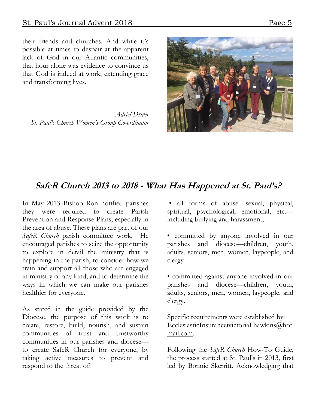their friends and churches. And while it's possible at times to despair at the apparent lack of God in our Atlantic communities, that hour alone was evidence to convince us that God is indeed at work, extending grace and transforming lives.

*Adriel Driver St. Paul's Church Women's Group Co-ordinator*



### **SafeR Church 2013 to 2018 - What Has Happened at St. Paul's?**

In May 2013 Bishop Ron notified parishes they were required to create Parish Prevention and Response Plans, especially in the area of abuse. These plans are part of our *SafeR Church* parish committee work. He encouraged parishes to seize the opportunity to explore in detail the ministry that is happening in the parish, to consider how we train and support all those who are engaged in ministry of any kind, and to determine the ways in which we can make our parishes healthier for everyone.

As stated in the guide provided by the Diocese, the purpose of this work is to create, restore, build, nourish, and sustain communities of trust and trustworthy communities in our parishes and diocese to create SafeR Church for everyone, by taking active measures to prevent and respond to the threat of:

• all forms of abuse—sexual, physical, spiritual, psychological, emotional, etc. including bullying and harassment;

• committed by anyone involved in our parishes and diocese—children, youth, adults, seniors, men, women, laypeople, and clergy

• committed against anyone involved in our parishes and diocese—children, youth, adults, seniors, men, women, laypeople, and clergy.

Specific requirements were established by: [EcclesiasticInsuranceivictoriaLhawkins@hot](mailto:EcclesiasticInsuranceivictoriaLhawkins@hotmail.com) [mail.com.](mailto:EcclesiasticInsuranceivictoriaLhawkins@hotmail.com)

Following the *SafeR Church* How-To Guide, the process started at St. Paul's in 2013, first led by Bonnie Skerritt. Acknowledging that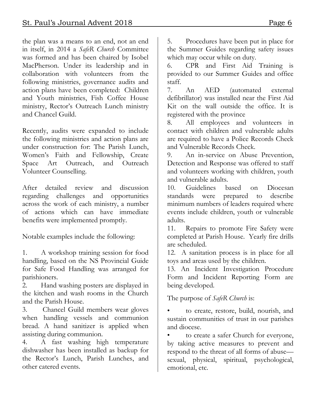the plan was a means to an end, not an end in itself, in 2014 a *SafeR Church* Committee was formed and has been chaired by Isobel MacPherson. Under its leadership and in collaboration with volunteers from the following ministries, governance audits and action plans have been completed: Children and Youth ministries, Fish Coffee House ministry, Rector's Outreach Lunch ministry and Chancel Guild.

Recently, audits were expanded to include the following ministries and action plans are under construction for: The Parish Lunch, Women's Faith and Fellowship, Create Space Art Outreach, and Outreach Volunteer Counselling.

After detailed review and discussion regarding challenges and opportunities across the work of each ministry, a number of actions which can have immediate benefits were implemented promptly.

Notable examples include the following:

1. A workshop training session for food handling, based on the NS Provincial Guide for Safe Food Handling was arranged for parishioners.

2. Hand washing posters are displayed in the kitchen and wash rooms in the Church and the Parish House.

3. Chancel Guild members wear gloves when handling vessels and communion bread. A hand sanitizer is applied when assisting during communion.

4. A fast washing high temperature dishwasher has been installed as backup for the Rector's Lunch, Parish Lunches, and other catered events.

5. Procedures have been put in place for the Summer Guides regarding safety issues which may occur while on duty.

6. CPR and First Aid Training is provided to our Summer Guides and office staff.

7. An AED (automated external defibrillator) was installed near the First Aid Kit on the wall outside the office. It is registered with the province

8. All employees and volunteers in contact with children and vulnerable adults are required to have a Police Records Check and Vulnerable Records Check.

9. An in-service on Abuse Prevention, Detection and Response was offered to staff and volunteers working with children, youth and vulnerable adults.

10. Guidelines based on Diocesan standards were prepared to describe minimum numbers of leaders required where events include children, youth or vulnerable adults.

11. Repairs to promote Fire Safety were completed at Parish House. Yearly fire drills are scheduled.

12. A sanitation process is in place for all toys and areas used by the children.

13. An Incident Investigation Procedure Form and Incident Reporting Form are being developed.

The purpose of *SafeR Church* is:

• to create, restore, build, nourish, and sustain communities of trust in our parishes and diocese.

• to create a safer Church for everyone, by taking active measures to prevent and respond to the threat of all forms of abuse sexual, physical, spiritual, psychological, emotional, etc.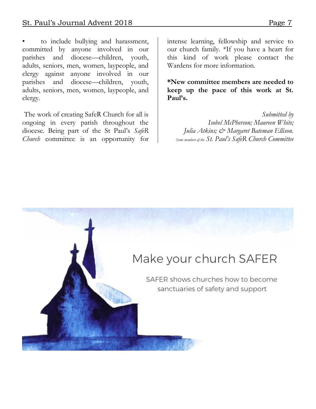to include bullying and harassment, committed by anyone involved in our parishes and diocese—children, youth, adults, seniors, men, women, laypeople, and clergy against anyone involved in our parishes and diocese—children, youth, adults, seniors, men, women, laypeople, and clergy.

The work of creating SafeR Church for all is ongoing in every parish throughout the diocese. Being part of the St Paul's *SafeR Church* committee is an opportunity for

intense learning, fellowship and service to our church family. \*If you have a heart for this kind of work please contact the Wardens for more information.

**\*New committee members are needed to keep up the pace of this work at St. Paul's.**

*Submitted by Isobel McPherson; Maureen White; Julia Atkins; & Margaret Bateman Ellison. Some members of the St. Paul's SafeR Church Committee*

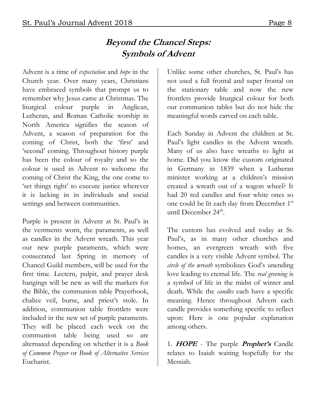## **Beyond the Chancel Steps: Symbols of Advent**

Advent is a time of *expectation* and *hope* in the Church year. Over many years, Christians have embraced symbols that prompt us to remember why Jesus came at Christmas. The liturgical colour purple in Anglican, Lutheran, and Roman Catholic worship in North America signifies the season of Advent, a season of preparation for the coming of Christ, both the 'first' and 'second' coming. Throughout history purple has been the colour of royalty and so the colour is used in Advent to welcome the coming of Christ the King, the one come to 'set things right' to execute justice wherever it is lacking in in individuals and social settings and between communities.

Purple is present in Advent at St. Paul's in the vestments worn, the paraments, as well as candles in the Advent wreath. This year our new purple paraments, which were consecrated last Spring in memory of Chancel Guild members, will be used for the first time. Lectern, pulpit, and prayer desk hangings will be new as will the markers for the Bible, the communion table Prayerbook, chalice veil, burse, and priest's stole. In addition, communion table frontlets were included in the new set of purple paraments. They will be placed each week on the communion table being used so are alternated depending on whether it is a *Book of Common Prayer* or *Book of Alternative Services* Eucharist.

Unlike some other churches, St. Paul's has not used a full frontal and super frontal on the stationary table and now the new frontlets provide liturgical colour for both our communion tables but do not hide the meaningful words carved on each table.

Each Sunday in Advent the children at St. Paul's light candles in the Advent wreath. Many of us also have wreaths to light at home. Did you know the custom originated in Germany in 1839 when a Lutheran minister working at a children's mission created a wreath out of a wagon wheel? It had 20 red candles and four white ones so one could be lit each day from December 1st until December 24<sup>th</sup>.

The custom has evolved and today at St. Paul's, as in many other churches and homes, an evergreen wreath with five candles is a very visible Advent symbol. The *circle of the wreath* symbolizes God's unending love leading to eternal life. The *real greening* is a symbol of life in the midst of winter and death. While the *candles* each have a specific meaning. Hence throughout Advent each candle provides something specific to reflect upon: Here is one popular explanation among others.

1. **HOPE** - The purple **Prophet's** Candle relates to Isaiah waiting hopefully for the Messiah.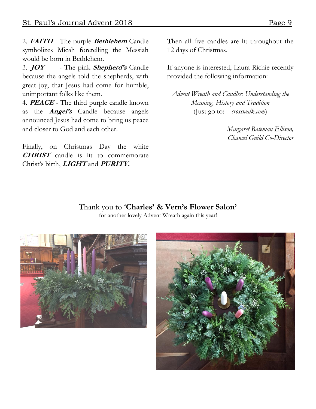2. **FAITH** - The purple **Bethlehem** Candle symbolizes Micah foretelling the Messiah would be born in Bethlehem.

3. **JOY** - The pink **Shepherd's** Candle because the angels told the shepherds, with great joy, that Jesus had come for humble, unimportant folks like them.

4. **PEACE** - The third purple candle known as the **Angel's** Candle because angels announced Jesus had come to bring us peace and closer to God and each other.

Finally, on Christmas Day the white **CHRIST** candle is lit to commemorate Christ's birth, **LIGHT** and **PURITY.** 

Then all five candles are lit throughout the 12 days of Christmas.

If anyone is interested, Laura Richie recently provided the following information:

*Advent Wreath and Candles: Understanding the Meaning, History and Tradition* (Just go to: *crosswalk.com*)

> *Margaret Bateman Ellison, Chancel Guild Co-Director*

Thank you to '**Charles' & Vern's Flower Salon'** for another lovely Advent Wreath again this year!



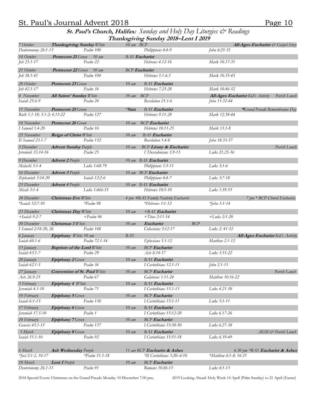#### St. Paul's Journal Advent 2018 Page 10

**St. Paul's Church, Halifax:** *Sunday and Holy Day Liturgies & Readings* **Thanksgiving Sunday 2018–Lent I 2019** 

| 7 October                           | Thanksgiving Sunday White                 | 10 am BCP         |                                                             |                                   | All-Ages Eucharist & Gospel Story        |
|-------------------------------------|-------------------------------------------|-------------------|-------------------------------------------------------------|-----------------------------------|------------------------------------------|
| Deuteronomy 26:1-13                 | Psalm 100                                 |                   | Philippians 4:4-9                                           | John 6:25-35                      |                                          |
| 14 October                          | Pentecost 21 Green 10 am                  |                   | <b>BAS</b> Eucharist                                        |                                   |                                          |
| Job 23.1-17                         | Psalm 22                                  |                   | Hebrews 4.12-16                                             | Mark 10.17-31                     |                                          |
| 21 October                          | <b>Pentecost 22</b> Green 10 am           |                   | <b>BCP</b> Eucharist                                        |                                   |                                          |
| Job 38.1-41                         | Psalm 104                                 |                   | Hebrews 5.1-6.3                                             | Mark 10.35-45                     |                                          |
| 28 October                          | <b>Pentecost 23 Green</b>                 | $10 \text{ am}$   | <b>BAS</b> Eucharist                                        |                                   |                                          |
| $Job 42.1 - 17$                     | Psalm 34                                  |                   | Hebrews 7.23-28                                             | Mark 10.46-52                     |                                          |
| 4 November                          | <b>All Saints' Sunday White</b>           | $10 \text{ am}$   | BCP                                                         | All-Ages Eucharist Kid's Activity | Parish Lunch                             |
| Isaiah 25.6-9                       | Psalm 24                                  |                   | Revelation 21.1-6                                           | John 11.32-44                     |                                          |
| 11 November                         | <b>Pentecost 25 Green</b>                 | $*9$ am           | <b>BAS</b> Eucharist                                        |                                   | *Grand Parade Remembrance Day            |
| Ruth 1.1-18; 3.1-2; 4.13-22         | Psalm 127                                 |                   | Hebrews 9.11-28                                             | Mark 12.38-44                     |                                          |
| 18 November                         | <b>Pentecost 26 Green</b>                 | $10 \text{ am}$   | <b>BCP</b> Eucharist                                        |                                   |                                          |
| I Samuel 1.4-20                     | Psalm 16                                  |                   | Hebrews 10.11-25                                            | Mark 13.1-8                       |                                          |
|                                     |                                           |                   | <b>BAS</b> Eucharist                                        |                                   |                                          |
| 25 November<br>II Samuel 23.1-7     | <b>Reign of Christ White</b><br>Psalm 132 | $10 \text{ am}$   | Revelation 1.4-8                                            | John 18.33-37                     |                                          |
|                                     |                                           |                   |                                                             |                                   |                                          |
| 3 December<br>Jeremiah 33.14-16     | <b>Advent Sunday Purple</b><br>Psalm 25   | $10 \text{ am}$   | <b>BCP Litany &amp; Eucharist</b><br>I Thessalonians 3.9-13 | Luke 21.25-36                     | Parish Lunch                             |
| 9 December                          | <b>Advent 2</b> Purple                    |                   | 10 am BAS Eucharist                                         |                                   |                                          |
| Malachi 3:1-4                       | Luke 1:68-79                              |                   | Philippians 1:3-11                                          | Luke 3:1-6                        |                                          |
| 16 December                         | <b>Advent 3</b> Purple                    |                   | 10 am BCP Eucharist                                         |                                   |                                          |
| Zephaniah 3:14-20                   | Isaiah 12:2-6                             |                   | Philippians 4:4-7                                           | Luke 3:7-18                       |                                          |
| 23 December                         |                                           |                   | 10 am BAS Eucharist                                         |                                   |                                          |
| Micah 5:1-4                         | <b>Advent 4</b> Purple<br>Luke 1:46b-55   |                   | Hebrews 10:5-10                                             | Luke 1:39-55                      |                                          |
|                                     |                                           |                   |                                                             |                                   |                                          |
| 24 December                         | <b>Christmas Eve White</b>                |                   | 4 pm +BAS Family Nativity Eucharist                         |                                   | 7 pm * BCP Choral Eucharist.             |
| *Isaiah 52:7-10                     | *Psalm 98                                 |                   | $*Hebrews$ 1:1-12                                           | $*John 1:1-14$                    |                                          |
| 25 December                         | <b>Christmas Day White</b>                | $10 \, \text{am}$ | $+BAS Eucharist$                                            |                                   |                                          |
| $+Isaiah$ 9.2-7                     | $+Ps$ alm 96                              |                   | $+ Titus 2:11-14$                                           | $+L$ uke 2:1-20                   |                                          |
| 30 December                         | <b>Christmas 1 White</b>                  | $10 \, \text{am}$ | Eucharist                                                   | <b>BCP</b>                        |                                          |
| I Samuel 2:18-20, 26                | Psalm 148                                 |                   | Colossians 3:12-17                                          | Luke 2: 41-52                     |                                          |
| 6 January                           | Epiphany White 10 am                      | <b>BAS</b>        |                                                             |                                   | <b>All-Ages Eucharist Kid's Activity</b> |
| Isaiah 60.1-6                       | Psalm 72.1-14                             |                   | Ephesians 3.1-12                                            | Matthew 2.1-12                    |                                          |
| 13 January                          | <b>Baptism of the Lord White</b>          | $10 \,$ am        | <b>BCP</b> Eucharist                                        |                                   |                                          |
| Isaiah 43.1-7                       | Psalm 29                                  |                   | Acts 8.14-17                                                | Luke 3.15-22                      |                                          |
| 20 January                          | <b>Epiphany 2</b> Green                   | $10 \, \text{am}$ | <b>BAS</b> Eucharist                                        |                                   |                                          |
| Isaiah 62.1-5                       | Psalm 36                                  |                   | I Corinthians 12.1-11                                       | John 2.1-11                       |                                          |
| 27 January                          | <b>Conversion of St. Paul White</b>       | $10 \,$ am        | <b>BCP</b> Eucharist                                        |                                   | Parish Lunch                             |
| Acts 26.9-23                        | Psalm 67                                  |                   | Galatians 1.11-24                                           | Matthew 10.16-22                  |                                          |
|                                     |                                           |                   | <b>BAS</b> Eucharist                                        |                                   |                                          |
| 3 February<br>Jeremiah 4.1-10       | <b>Epiphany 4 White</b><br>Psalm 71       | $10 \text{ am}$   | I Corinthians 13.1-13                                       | Luke 4.21-30                      |                                          |
|                                     |                                           |                   | <b>BCP</b> Eucharist                                        |                                   |                                          |
| 10 February<br><i>Isaiah 6:1-13</i> | <b>Epiphany 5</b> Green<br>Psalm 138      | $10 \text{ am}$   | I Corinthians 15:1-11                                       | Luke 5:1-11                       |                                          |
|                                     |                                           |                   |                                                             |                                   |                                          |
| 17 February                         | <b>Epiphany 6</b> Green<br>Psalm 1        | $10 \,$ am        | <b>BAS</b> Eucharist                                        |                                   |                                          |
| Jeremiah 17.5-10                    |                                           |                   | I Corinthians 15:12-20                                      | Luke 6.17-26                      |                                          |
| 24 February                         | <b>Epiphany</b> 7 Green                   | $10 \, \text{am}$ | <b>BCP</b> Eucharist                                        |                                   |                                          |
| Genesis 45.1-15                     | Psalm 137                                 |                   | I Corinthians 15:38-50                                      | Luke 6.27-38                      |                                          |
| 3 March                             | <b>Epiphany 8</b> Green                   | $10 \, \text{am}$ | <b>BAS</b> Eucharist                                        |                                   | AGM & Parish Lunch                       |
| Isaiah 55.1-10                      | Psalm 92                                  |                   | I Corinthians 15:51-58                                      | Luke 6.39-49                      |                                          |
|                                     |                                           |                   |                                                             |                                   |                                          |
| 6 March                             | <b>Ash Wednesday Purple</b>               |                   | 11 am BCP Eucharist & Ashes                                 |                                   | 6.30 pm *BAS Eucharist & Ashes           |
| $*$ <i>[oel 2:1-2, 10-17</i>        | $*P_{salm} 51.1 - 18$                     |                   | *II Corinthians 5:20–6:10                                   | *Matthew 6:1-8; 16-21             |                                          |
| 10 March                            | Lent I Purple                             | $10 \, \text{am}$ | <b>BCP</b> Eucharist                                        |                                   |                                          |
| Deuteronomy 26.1-11                 | Psalm 91                                  |                   | Romans 10.8b-13                                             | Luke 4:1-13                       |                                          |

2018 Special Event: Christmas on the Grand Parade Monday 10 December 7.00 pm; 2019 Looking Ahead: Holy Week 14 April (Palm Sunday) to 21 April (Easter)